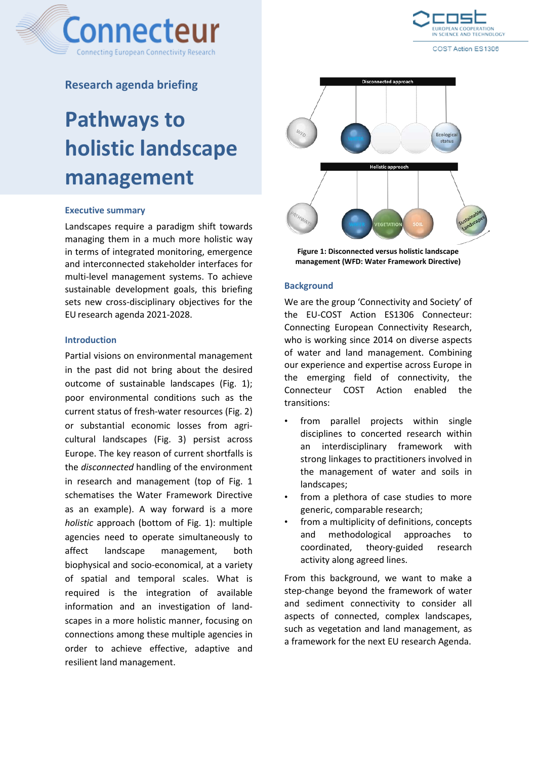



COST Action ES1306

## **Research agenda briefing**

# **Pathways to holistic landscape management**

#### **Executive summary**

Landscapes require a paradigm shift towards managing them in a much more holistic way in terms of integrated monitoring, emergence and interconnected stakeholder interfaces for multi-level management systems. To achieve sustainable development goals, this briefing sets new cross-disciplinary objectives for the EU research agenda 2021-2028.

### **Introduction**

Partial visions on environmental management in the past did not bring about the desired outcome of sustainable landscapes (Fig. 1); poor environmental conditions such as the current status of fresh-water resources (Fig. 2) or substantial economic losses from agricultural landscapes (Fig. 3) persist across Europe. The key reason of current shortfalls is the *disconnected* handling of the environment in research and management (top of Fig. 1 schematises the Water Framework Directive as an example). A way forward is a more *holistic* approach (bottom of Fig. 1): multiple agencies need to operate simultaneously to affect landscape management, both biophysical and socio-economical, at a variety of spatial and temporal scales. What is required is the integration of available information and an investigation of landscapes in a more holistic manner, focusing on connections among these multiple agencies in order to achieve effective, adaptive and resilient land management.



**Figure 1: Disconnected versus holistic landscape management (WFD: Water Framework Directive)**

#### **Background**

We are the group 'Connectivity and Society' of the EU-COST Action ES1306 Connecteur: Connecting European Connectivity Research, who is working since 2014 on diverse aspects of water and land management. Combining our experience and expertise across Europe in the emerging field of connectivity, the Connecteur COST Action enabled the transitions:

- from parallel projects within single disciplines to concerted research within an interdisciplinary framework with strong linkages to practitioners involved in the management of water and soils in landscapes;
- from a plethora of case studies to more generic, comparable research;
- from a multiplicity of definitions, concepts and methodological approaches to coordinated, theory-guided research activity along agreed lines.

From this background, we want to make a step-change beyond the framework of water and sediment connectivity to consider all aspects of connected, complex landscapes, such as vegetation and land management, as a framework for the next EU research Agenda.